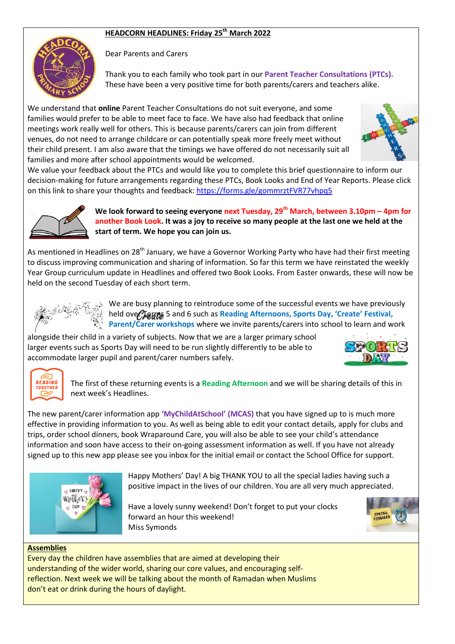# **HEADCORN HEADLINES: Friday 25th March 2022**



Dear Parents and Carers

Thank you to each family who took part in our **Parent Teacher Consultations (PTCs).** These have been a very positive time for both parents/carers and teachers alike.

We understand that **online** Parent Teacher Consultations do not suit everyone, and some families would prefer to be able to meet face to face. We have also had feedback that online meetings work really well for others. This is because parents/carers can join from different venues, do not need to arrange childcare or can potentially speak more freely meet without their child present. I am also aware that the timings we have offered do not necessarily suit all families and more after school appointments would be welcomed.



We value your feedback about the PTCs and would like you to complete this brief questionnaire to inform our decision-making for future arrangements regarding these PTCs, Book Looks and End of Year Reports. Please click on this link to share your thoughts and feedback:<https://forms.gle/gommrztFVR77vhpq5>



**We look forward to seeing everyone next Tuesday, 29th March, between 3.10pm – 4pm for another Book Look. It was a joy to receive so many people at the last one we held at the start of term. We hope you can join us.**

As mentioned in Headlines on 28<sup>th</sup> January, we have a Governor Working Party who have had their first meeting to discuss improving communication and sharing of information. So far this term we have reinstated the weekly Year Group curriculum update in Headlines and offered two Book Looks. From Easter onwards, these will now be held on the second Tuesday of each short term.



We are busy planning to reintroduce some of the successful events we have previously held over Terms 5 and 6 such as **Reading Afternoons, Sports Day, 'Create' Festival,**<br>Parent (Carer workshops where we invite parents (carers into school to loarn and w **Parent/Carer workshops** where we invite parents/carers into school to learn and work

alongside their child in a variety of subjects. Now that we are a larger primary school larger events such as Sports Day will need to be run slightly differently to be able to accommodate larger pupil and parent/carer numbers safely.





The first of these returning events is a **Reading Afternoon** and we will be sharing details of this in next week's Headlines.

The new parent/carer information app **'MyChildAtSchool' (MCAS)** that you have signed up to is much more effective in providing information to you. As well as being able to edit your contact details, apply for clubs and trips, order school dinners, book Wraparound Care, you will also be able to see your child's attendance information and soon have access to their on-going assessment information as well. If you have not already signed up to this new app please see you inbox for the initial email or contact the School Office for support.



Happy Mothers' Day! A big THANK YOU to all the special ladies having such a positive impact in the lives of our children. You are all very much appreciated.

Have a lovely sunny weekend! Don't forget to put your clocks forward an hour this weekend! Miss Symonds



#### **Assemblies**

Every day the children have assemblies that are aimed at developing their understanding of the wider world, sharing our core values, and encouraging selfreflection. Next week we will be talking about the month of Ramadan when Muslims don't eat or drink during the hours of daylight.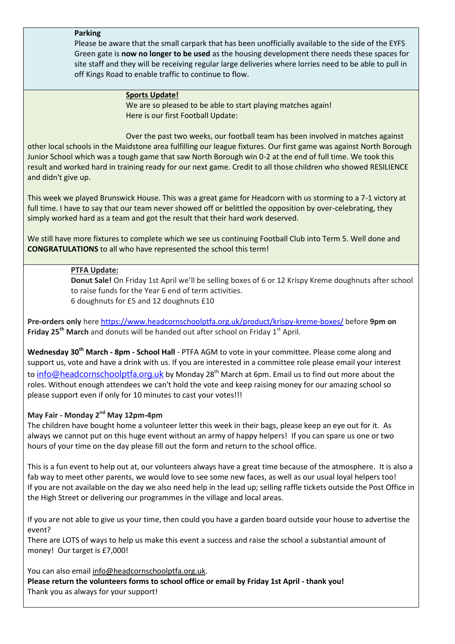#### **Parking**

Please be aware that the small carpark that has been unofficially available to the side of the EYFS Green gate is **now no longer to be used** as the housing development there needs these spaces for site staff and they will be receiving regular large deliveries where lorries need to be able to pull in off Kings Road to enable traffic to continue to flow.

## **Sports Update!**

We are so pleased to be able to start playing matches again! Here is our first Football Update:

Over the past two weeks, our football team has been involved in matches against other local schools in the Maidstone area fulfilling our league fixtures. Our first game was against North Borough Junior School which was a tough game that saw North Borough win 0-2 at the end of full time. We took this result and worked hard in training ready for our next game. Credit to all those children who showed RESILIENCE and didn't give up.

This week we played Brunswick House. This was a great game for Headcorn with us storming to a 7-1 victory at full time. I have to say that our team never showed off or belittled the opposition by over-celebrating, they simply worked hard as a team and got the result that their hard work deserved.

We still have more fixtures to complete which we see us continuing Football Club into Term 5. Well done and **CONGRATULATIONS** to all who have represented the school this term!

# **PTFA Update:**

**Donut Sale!** On Friday 1st April we'll be selling boxes of 6 or 12 Krispy Kreme doughnuts after school to raise funds for the Year 6 end of term activities. 6 doughnuts for £5 and 12 doughnuts £10

**Pre-orders only** here <https://www.headcornschoolptfa.org.uk/product/krispy-kreme-boxes/> before **9pm on Friday 25<sup>th</sup> March** and donuts will be handed out after school on Friday 1<sup>st</sup> April.

**Wednesday 30th March - 8pm - School Hall** - PTFA AGM to vote in your committee. Please come along and support us, vote and have a drink with us. If you are interested in a committee role please email your interest to [info@headcornschoolptfa.org.uk](mailto:info@headcornschoolptfa.org.uk) by Monday 28<sup>th</sup> March at 6pm. Email us to find out more about the roles. Without enough attendees we can't hold the vote and keep raising money for our amazing school so please support even if only for 10 minutes to cast your votes!!!

## **May Fair - Monday 2nd May 12pm-4pm**

The children have bought home a volunteer letter this week in their bags, please keep an eye out for it. As always we cannot put on this huge event without an army of happy helpers! If you can spare us one or two hours of your time on the day please fill out the form and return to the school office.

This is a fun event to help out at, our volunteers always have a great time because of the atmosphere. It is also a fab way to meet other parents, we would love to see some new faces, as well as our usual loyal helpers too! If you are not available on the day we also need help in the lead up; selling raffle tickets outside the Post Office in the High Street or delivering our programmes in the village and local areas.

If you are not able to give us your time, then could you have a garden board outside your house to advertise the event?

There are LOTS of ways to help us make this event a success and raise the school a substantial amount of money! Our target is £7,000!

You can also email [info@headcornschoolptfa.org.uk.](mailto:info@headcornschoolptfa.org.uk)

**Please return the volunteers forms to school office or email by Friday 1st April - thank you!** Thank you as always for your support!